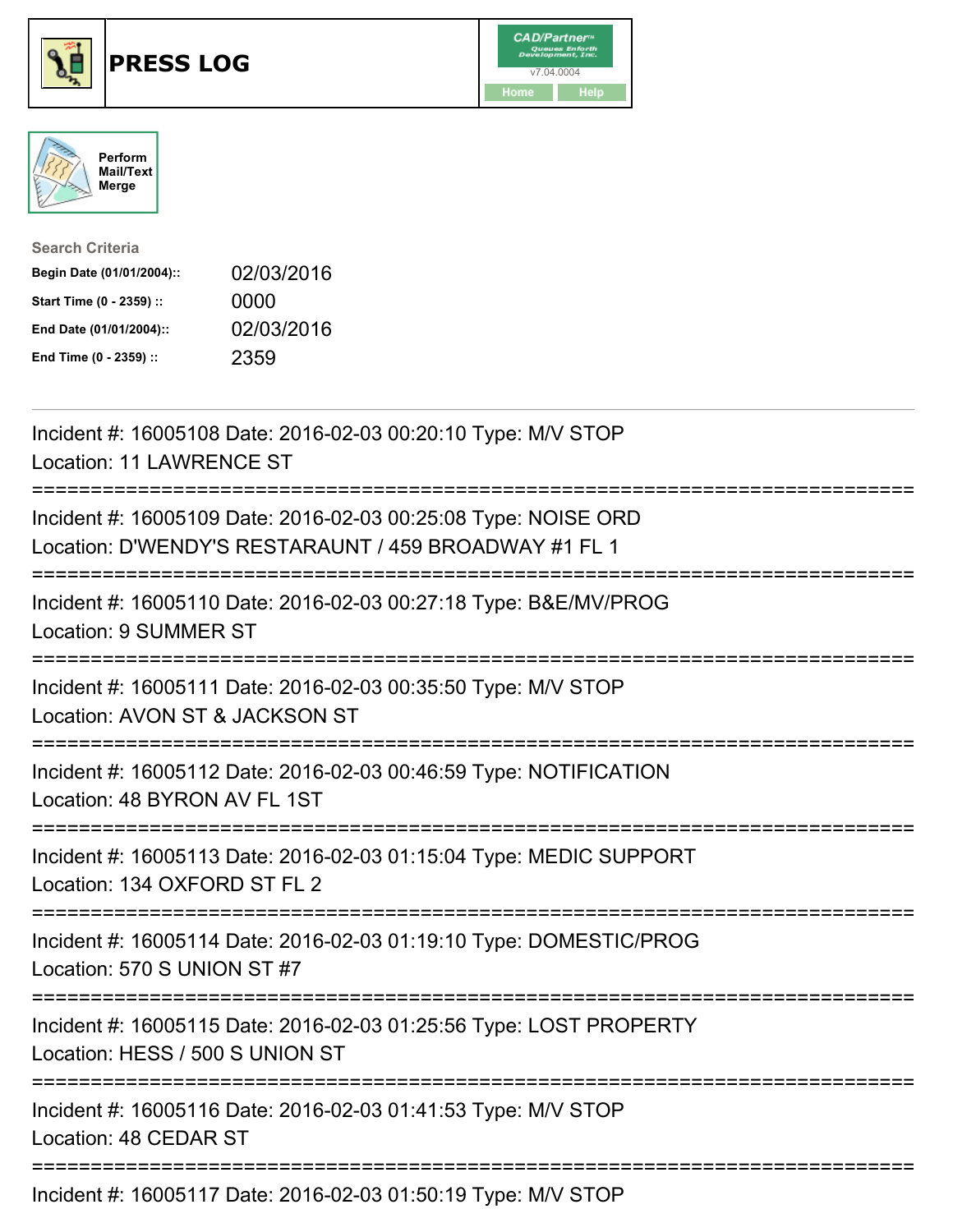





| <b>Search Criteria</b>    |            |
|---------------------------|------------|
| Begin Date (01/01/2004):: | 02/03/2016 |
| Start Time (0 - 2359) ::  | 0000       |
| End Date (01/01/2004)::   | 02/03/2016 |
| End Time (0 - 2359) ::    | 2359       |

| Incident #: 16005108 Date: 2016-02-03 00:20:10 Type: M/V STOP<br><b>Location: 11 LAWRENCE ST</b>                         |
|--------------------------------------------------------------------------------------------------------------------------|
| Incident #: 16005109 Date: 2016-02-03 00:25:08 Type: NOISE ORD<br>Location: D'WENDY'S RESTARAUNT / 459 BROADWAY #1 FL 1  |
| Incident #: 16005110 Date: 2016-02-03 00:27:18 Type: B&E/MV/PROG<br>Location: 9 SUMMER ST                                |
| Incident #: 16005111 Date: 2016-02-03 00:35:50 Type: M/V STOP<br>Location: AVON ST & JACKSON ST                          |
| Incident #: 16005112 Date: 2016-02-03 00:46:59 Type: NOTIFICATION<br>Location: 48 BYRON AV FL 1ST                        |
| Incident #: 16005113 Date: 2016-02-03 01:15:04 Type: MEDIC SUPPORT<br>Location: 134 OXFORD ST FL 2<br>================== |
| Incident #: 16005114 Date: 2016-02-03 01:19:10 Type: DOMESTIC/PROG<br>Location: 570 S UNION ST #7<br>------------------- |
| Incident #: 16005115 Date: 2016-02-03 01:25:56 Type: LOST PROPERTY<br>Location: HESS / 500 S UNION ST                    |
| Incident #: 16005116 Date: 2016-02-03 01:41:53 Type: M/V STOP<br>Location: 48 CEDAR ST                                   |
| Incident #: 16005117 Date: 2016-02-03 01:50:19 Type: M/V STOP                                                            |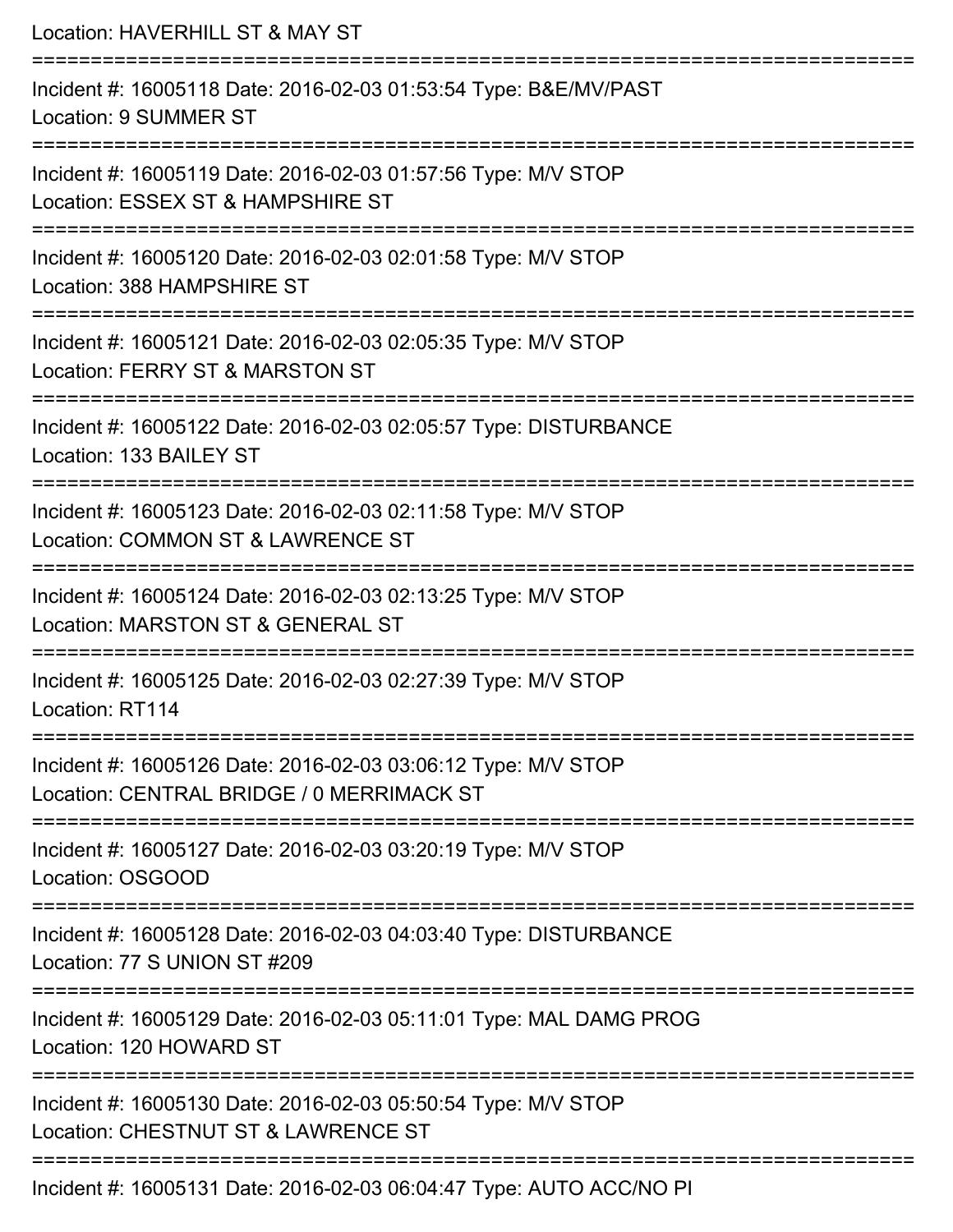| Location: HAVERHILL ST & MAY ST                                                                                                     |
|-------------------------------------------------------------------------------------------------------------------------------------|
| Incident #: 16005118 Date: 2016-02-03 01:53:54 Type: B&E/MV/PAST<br>Location: 9 SUMMER ST                                           |
| Incident #: 16005119 Date: 2016-02-03 01:57:56 Type: M/V STOP<br>Location: ESSEX ST & HAMPSHIRE ST                                  |
| Incident #: 16005120 Date: 2016-02-03 02:01:58 Type: M/V STOP<br>Location: 388 HAMPSHIRE ST<br>:=================================== |
| Incident #: 16005121 Date: 2016-02-03 02:05:35 Type: M/V STOP<br>Location: FERRY ST & MARSTON ST                                    |
| Incident #: 16005122 Date: 2016-02-03 02:05:57 Type: DISTURBANCE<br>Location: 133 BAILEY ST                                         |
| Incident #: 16005123 Date: 2016-02-03 02:11:58 Type: M/V STOP<br>Location: COMMON ST & LAWRENCE ST                                  |
| Incident #: 16005124 Date: 2016-02-03 02:13:25 Type: M/V STOP<br>Location: MARSTON ST & GENERAL ST                                  |
| Incident #: 16005125 Date: 2016-02-03 02:27:39 Type: M/V STOP<br>Location: RT114                                                    |
| Incident #: 16005126 Date: 2016-02-03 03:06:12 Type: M/V STOP<br>Location: CENTRAL BRIDGE / 0 MERRIMACK ST                          |
| Incident #: 16005127 Date: 2016-02-03 03:20:19 Type: M/V STOP<br>Location: OSGOOD                                                   |
| Incident #: 16005128 Date: 2016-02-03 04:03:40 Type: DISTURBANCE<br>Location: 77 S UNION ST #209                                    |
| :===============<br>Incident #: 16005129 Date: 2016-02-03 05:11:01 Type: MAL DAMG PROG<br>Location: 120 HOWARD ST                   |
| Incident #: 16005130 Date: 2016-02-03 05:50:54 Type: M/V STOP<br>Location: CHESTNUT ST & LAWRENCE ST                                |
| Incident #: 16005131 Date: 2016-02-03 06:04:47 Type: AUTO ACC/NO PI                                                                 |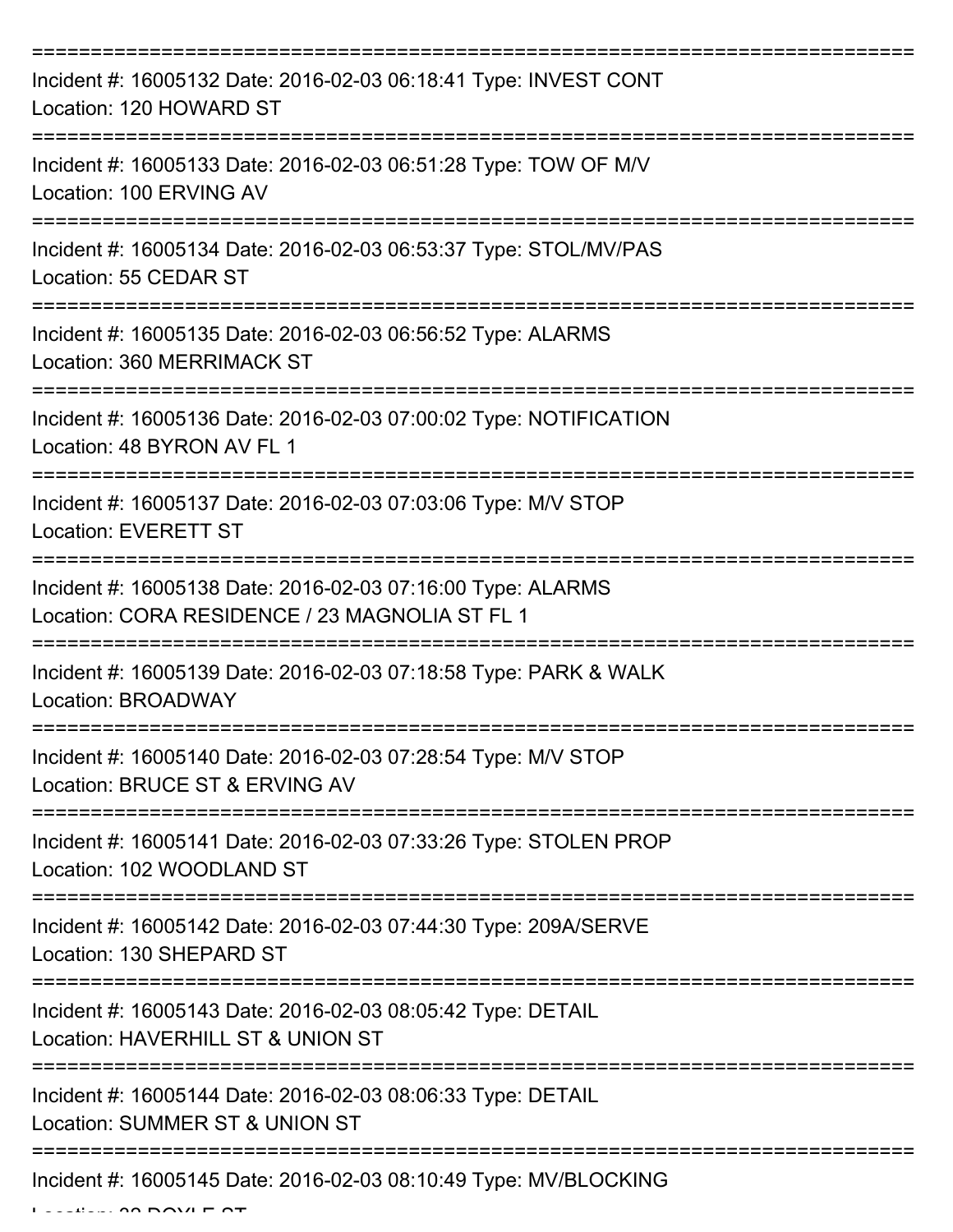| Incident #: 16005132 Date: 2016-02-03 06:18:41 Type: INVEST CONT<br>Location: 120 HOWARD ST                   |
|---------------------------------------------------------------------------------------------------------------|
| Incident #: 16005133 Date: 2016-02-03 06:51:28 Type: TOW OF M/V<br>Location: 100 ERVING AV                    |
| Incident #: 16005134 Date: 2016-02-03 06:53:37 Type: STOL/MV/PAS<br>Location: 55 CEDAR ST                     |
| Incident #: 16005135 Date: 2016-02-03 06:56:52 Type: ALARMS<br>Location: 360 MERRIMACK ST                     |
| Incident #: 16005136 Date: 2016-02-03 07:00:02 Type: NOTIFICATION<br>Location: 48 BYRON AV FL 1               |
| Incident #: 16005137 Date: 2016-02-03 07:03:06 Type: M/V STOP<br><b>Location: EVERETT ST</b>                  |
| Incident #: 16005138 Date: 2016-02-03 07:16:00 Type: ALARMS<br>Location: CORA RESIDENCE / 23 MAGNOLIA ST FL 1 |
| Incident #: 16005139 Date: 2016-02-03 07:18:58 Type: PARK & WALK<br>Location: BROADWAY                        |
| Incident #: 16005140 Date: 2016-02-03 07:28:54 Type: M/V STOP<br>Location: BRUCE ST & ERVING AV               |
| Incident #: 16005141 Date: 2016-02-03 07:33:26 Type: STOLEN PROP<br>Location: 102 WOODLAND ST                 |
| Incident #: 16005142 Date: 2016-02-03 07:44:30 Type: 209A/SERVE<br>Location: 130 SHEPARD ST                   |
| Incident #: 16005143 Date: 2016-02-03 08:05:42 Type: DETAIL<br>Location: HAVERHILL ST & UNION ST              |
| Incident #: 16005144 Date: 2016-02-03 08:06:33 Type: DETAIL<br>Location: SUMMER ST & UNION ST                 |
| Incident #: 16005145 Date: 2016-02-03 08:10:49 Type: MV/BLOCKING                                              |

 $L = L$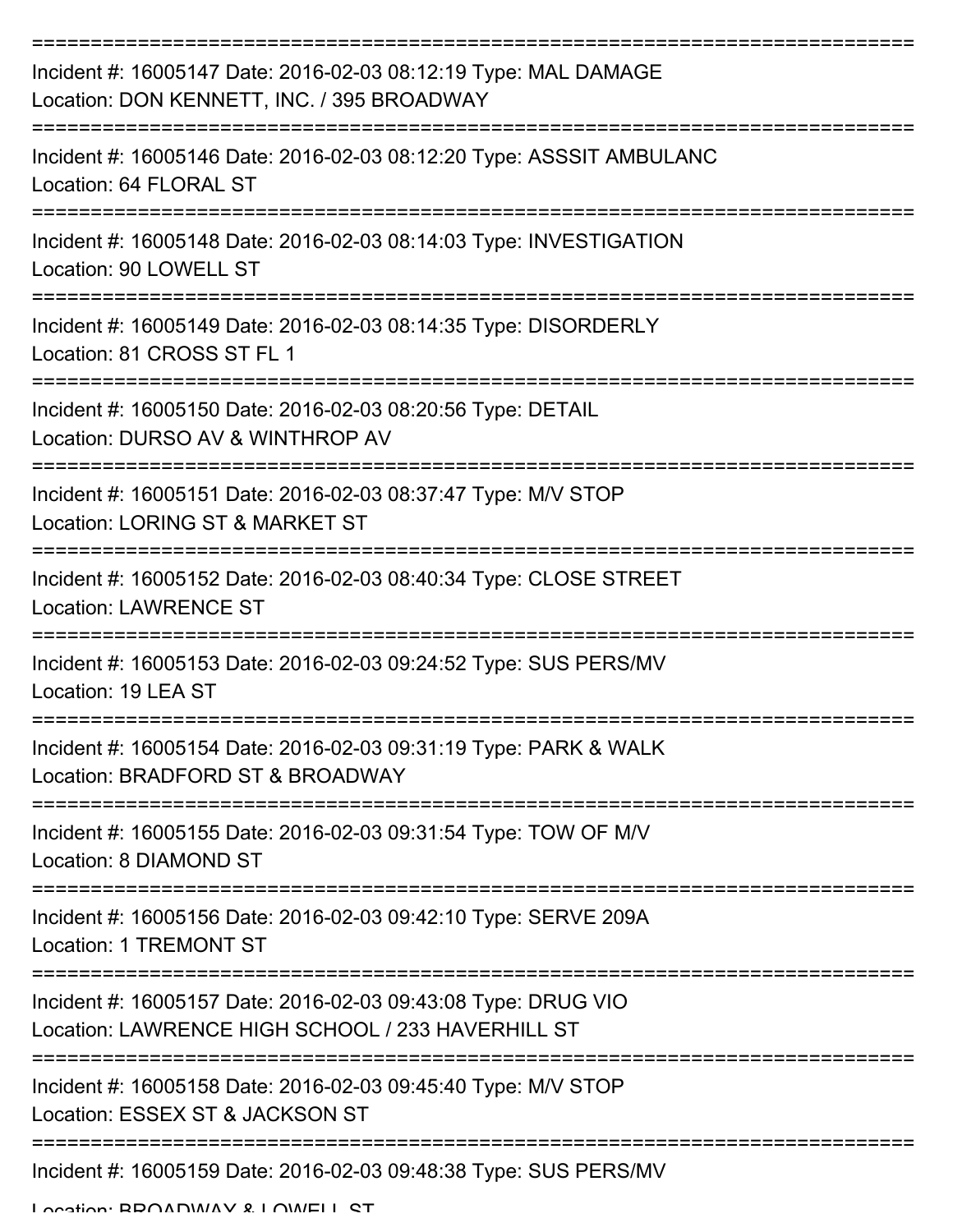| Incident #: 16005147 Date: 2016-02-03 08:12:19 Type: MAL DAMAGE<br>Location: DON KENNETT, INC. / 395 BROADWAY      |
|--------------------------------------------------------------------------------------------------------------------|
| Incident #: 16005146 Date: 2016-02-03 08:12:20 Type: ASSSIT AMBULANC<br>Location: 64 FLORAL ST                     |
| Incident #: 16005148 Date: 2016-02-03 08:14:03 Type: INVESTIGATION<br>Location: 90 LOWELL ST                       |
| Incident #: 16005149 Date: 2016-02-03 08:14:35 Type: DISORDERLY<br>Location: 81 CROSS ST FL 1                      |
| Incident #: 16005150 Date: 2016-02-03 08:20:56 Type: DETAIL<br>Location: DURSO AV & WINTHROP AV                    |
| Incident #: 16005151 Date: 2016-02-03 08:37:47 Type: M/V STOP<br>Location: LORING ST & MARKET ST                   |
| Incident #: 16005152 Date: 2016-02-03 08:40:34 Type: CLOSE STREET<br><b>Location: LAWRENCE ST</b>                  |
| Incident #: 16005153 Date: 2016-02-03 09:24:52 Type: SUS PERS/MV<br>Location: 19 LEA ST                            |
| Incident #: 16005154 Date: 2016-02-03 09:31:19 Type: PARK & WALK<br>Location: BRADFORD ST & BROADWAY               |
| Incident #: 16005155 Date: 2016-02-03 09:31:54 Type: TOW OF M/V<br>Location: 8 DIAMOND ST                          |
| Incident #: 16005156 Date: 2016-02-03 09:42:10 Type: SERVE 209A<br><b>Location: 1 TREMONT ST</b>                   |
| Incident #: 16005157 Date: 2016-02-03 09:43:08 Type: DRUG VIO<br>Location: LAWRENCE HIGH SCHOOL / 233 HAVERHILL ST |
| Incident #: 16005158 Date: 2016-02-03 09:45:40 Type: M/V STOP<br>Location: ESSEX ST & JACKSON ST                   |
| Incident #: 16005159 Date: 2016-02-03 09:48:38 Type: SUS PERS/MV                                                   |

Location: BROADWAY & LOWELL ST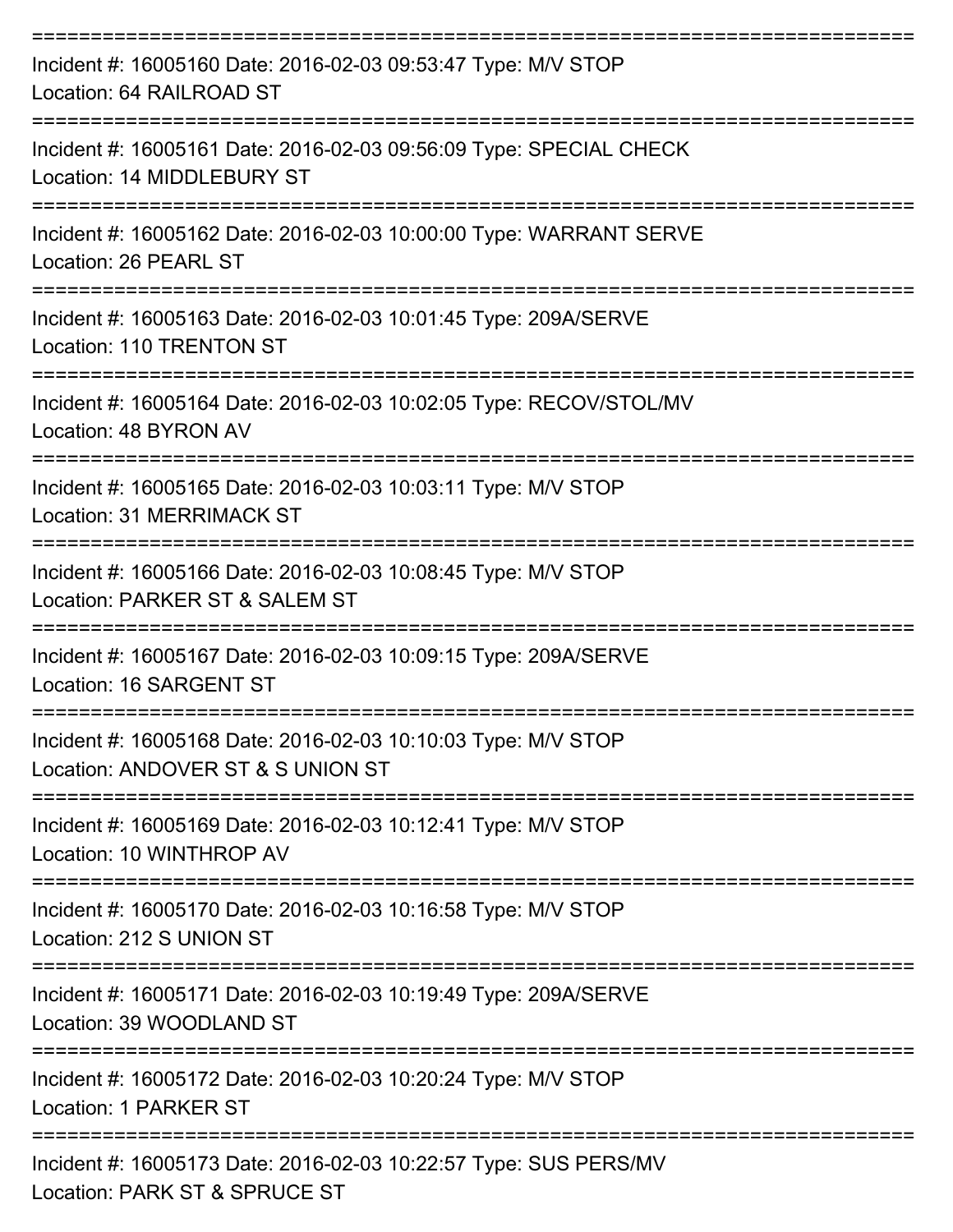| Incident #: 16005160 Date: 2016-02-03 09:53:47 Type: M/V STOP<br>Location: 64 RAILROAD ST          |
|----------------------------------------------------------------------------------------------------|
| Incident #: 16005161 Date: 2016-02-03 09:56:09 Type: SPECIAL CHECK<br>Location: 14 MIDDLEBURY ST   |
| Incident #: 16005162 Date: 2016-02-03 10:00:00 Type: WARRANT SERVE<br>Location: 26 PEARL ST        |
| Incident #: 16005163 Date: 2016-02-03 10:01:45 Type: 209A/SERVE<br>Location: 110 TRENTON ST        |
| Incident #: 16005164 Date: 2016-02-03 10:02:05 Type: RECOV/STOL/MV<br>Location: 48 BYRON AV        |
| Incident #: 16005165 Date: 2016-02-03 10:03:11 Type: M/V STOP<br>Location: 31 MERRIMACK ST         |
| Incident #: 16005166 Date: 2016-02-03 10:08:45 Type: M/V STOP<br>Location: PARKER ST & SALEM ST    |
| Incident #: 16005167 Date: 2016-02-03 10:09:15 Type: 209A/SERVE<br>Location: 16 SARGENT ST         |
| Incident #: 16005168 Date: 2016-02-03 10:10:03 Type: M/V STOP<br>Location: ANDOVER ST & S UNION ST |
| Incident #: 16005169 Date: 2016-02-03 10:12:41 Type: M/V STOP<br>Location: 10 WINTHROP AV          |
| Incident #: 16005170 Date: 2016-02-03 10:16:58 Type: M/V STOP<br>Location: 212 S UNION ST          |
| Incident #: 16005171 Date: 2016-02-03 10:19:49 Type: 209A/SERVE<br>Location: 39 WOODLAND ST        |
| Incident #: 16005172 Date: 2016-02-03 10:20:24 Type: M/V STOP<br>Location: 1 PARKER ST             |
| Incident #: 16005173 Date: 2016-02-03 10:22:57 Type: SUS PERS/MV<br>Location: PARK ST & SPRUCE ST  |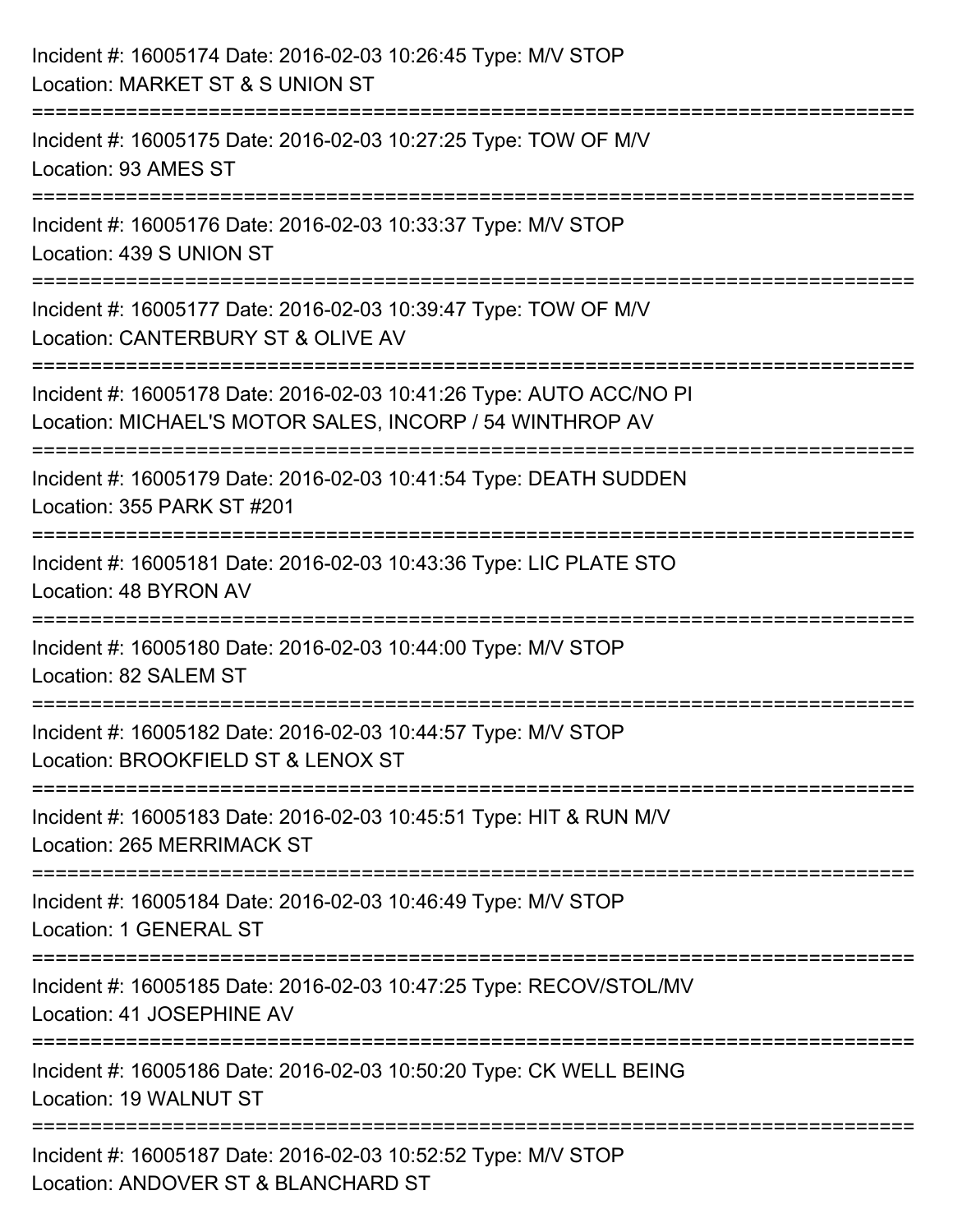| Incident #: 16005174 Date: 2016-02-03 10:26:45 Type: M/V STOP<br>Location: MARKET ST & S UNION ST                                                                       |
|-------------------------------------------------------------------------------------------------------------------------------------------------------------------------|
| :===============================<br>Incident #: 16005175 Date: 2016-02-03 10:27:25 Type: TOW OF M/V<br>Location: 93 AMES ST                                             |
| Incident #: 16005176 Date: 2016-02-03 10:33:37 Type: M/V STOP<br>Location: 439 S UNION ST                                                                               |
| :=============================<br>Incident #: 16005177 Date: 2016-02-03 10:39:47 Type: TOW OF M/V<br>Location: CANTERBURY ST & OLIVE AV<br>---------------------------- |
| Incident #: 16005178 Date: 2016-02-03 10:41:26 Type: AUTO ACC/NO PI<br>Location: MICHAEL'S MOTOR SALES, INCORP / 54 WINTHROP AV                                         |
| Incident #: 16005179 Date: 2016-02-03 10:41:54 Type: DEATH SUDDEN<br>Location: 355 PARK ST #201                                                                         |
| Incident #: 16005181 Date: 2016-02-03 10:43:36 Type: LIC PLATE STO<br>Location: 48 BYRON AV                                                                             |
| Incident #: 16005180 Date: 2016-02-03 10:44:00 Type: M/V STOP<br>Location: 82 SALEM ST                                                                                  |
| Incident #: 16005182 Date: 2016-02-03 10:44:57 Type: M/V STOP<br>Location: BROOKFIELD ST & LENOX ST                                                                     |
| Incident #: 16005183 Date: 2016-02-03 10:45:51 Type: HIT & RUN M/V<br><b>Location: 265 MERRIMACK ST</b>                                                                 |
| Incident #: 16005184 Date: 2016-02-03 10:46:49 Type: M/V STOP<br>Location: 1 GENERAL ST                                                                                 |
| Incident #: 16005185 Date: 2016-02-03 10:47:25 Type: RECOV/STOL/MV<br>Location: 41 JOSEPHINE AV                                                                         |
| Incident #: 16005186 Date: 2016-02-03 10:50:20 Type: CK WELL BEING<br>Location: 19 WALNUT ST                                                                            |
| Incident #: 16005187 Date: 2016-02-03 10:52:52 Type: M/V STOP<br>Location: ANDOVER ST & BLANCHARD ST                                                                    |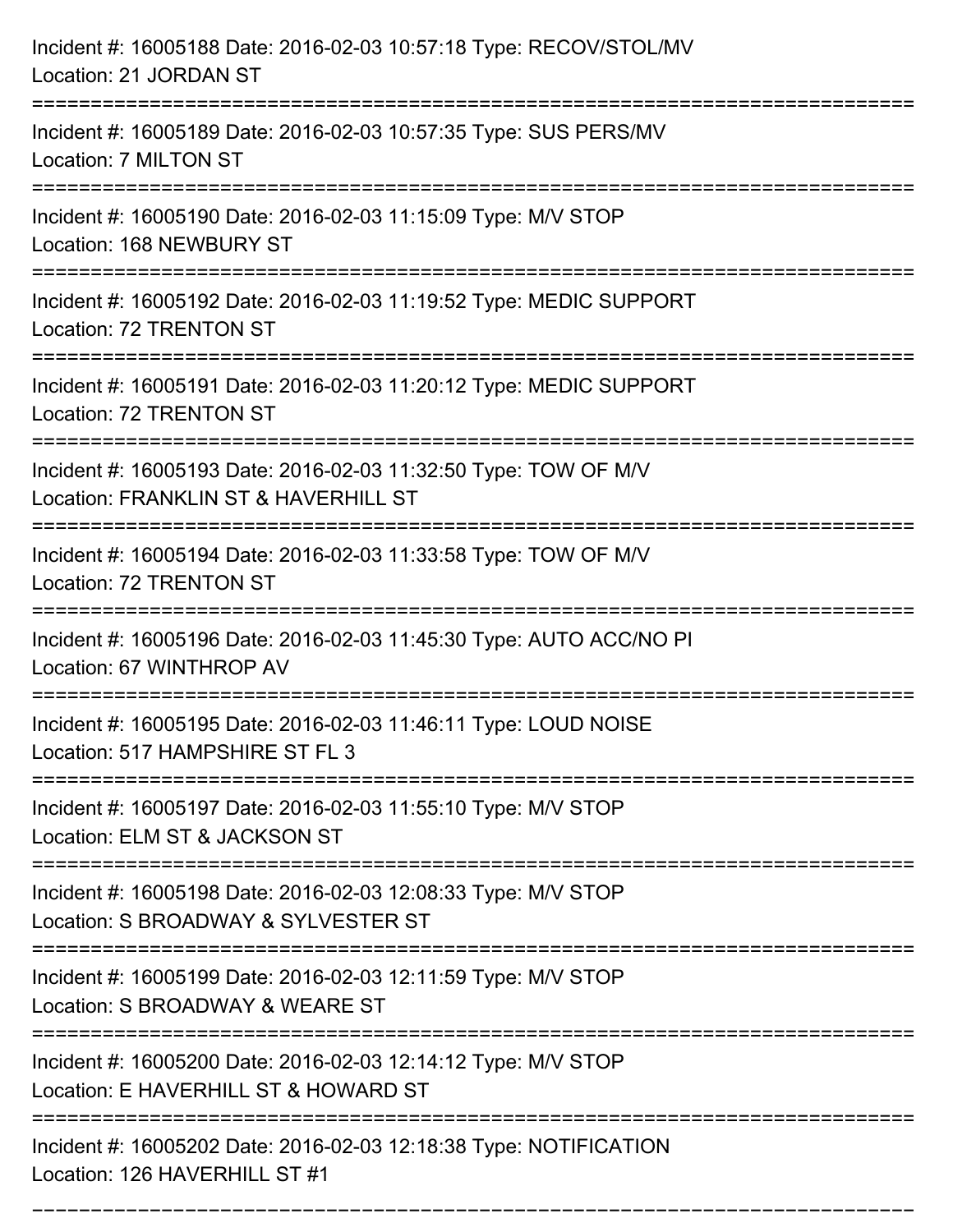| Incident #: 16005188 Date: 2016-02-03 10:57:18 Type: RECOV/STOL/MV<br>Location: 21 JORDAN ST            |
|---------------------------------------------------------------------------------------------------------|
| Incident #: 16005189 Date: 2016-02-03 10:57:35 Type: SUS PERS/MV<br>Location: 7 MILTON ST               |
| Incident #: 16005190 Date: 2016-02-03 11:15:09 Type: M/V STOP<br>Location: 168 NEWBURY ST               |
| Incident #: 16005192 Date: 2016-02-03 11:19:52 Type: MEDIC SUPPORT<br>Location: 72 TRENTON ST           |
| Incident #: 16005191 Date: 2016-02-03 11:20:12 Type: MEDIC SUPPORT<br>Location: 72 TRENTON ST           |
| Incident #: 16005193 Date: 2016-02-03 11:32:50 Type: TOW OF M/V<br>Location: FRANKLIN ST & HAVERHILL ST |
| Incident #: 16005194 Date: 2016-02-03 11:33:58 Type: TOW OF M/V<br>Location: 72 TRENTON ST              |
| Incident #: 16005196 Date: 2016-02-03 11:45:30 Type: AUTO ACC/NO PI<br>Location: 67 WINTHROP AV         |
| Incident #: 16005195 Date: 2016-02-03 11:46:11 Type: LOUD NOISE<br>Location: 517 HAMPSHIRE ST FL 3      |
| Incident #: 16005197 Date: 2016-02-03 11:55:10 Type: M/V STOP<br>Location: ELM ST & JACKSON ST          |
| Incident #: 16005198 Date: 2016-02-03 12:08:33 Type: M/V STOP<br>Location: S BROADWAY & SYLVESTER ST    |
| Incident #: 16005199 Date: 2016-02-03 12:11:59 Type: M/V STOP<br>Location: S BROADWAY & WEARE ST        |
| Incident #: 16005200 Date: 2016-02-03 12:14:12 Type: M/V STOP<br>Location: E HAVERHILL ST & HOWARD ST   |
| Incident #: 16005202 Date: 2016-02-03 12:18:38 Type: NOTIFICATION<br>Location: 126 HAVERHILL ST #1      |

===========================================================================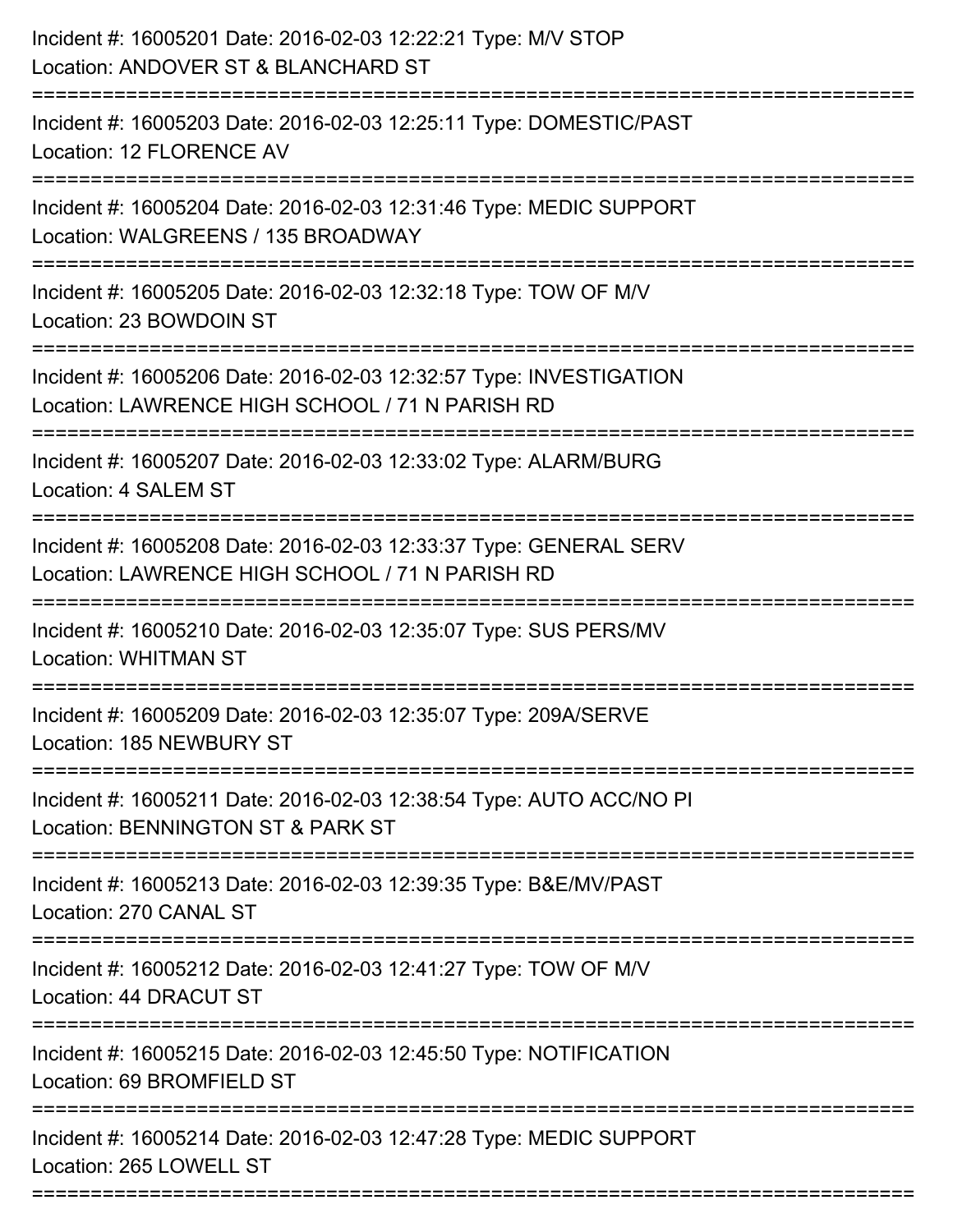| Incident #: 16005201 Date: 2016-02-03 12:22:21 Type: M/V STOP<br>Location: ANDOVER ST & BLANCHARD ST                                             |
|--------------------------------------------------------------------------------------------------------------------------------------------------|
| Incident #: 16005203 Date: 2016-02-03 12:25:11 Type: DOMESTIC/PAST<br>Location: 12 FLORENCE AV                                                   |
| Incident #: 16005204 Date: 2016-02-03 12:31:46 Type: MEDIC SUPPORT<br>Location: WALGREENS / 135 BROADWAY                                         |
| Incident #: 16005205 Date: 2016-02-03 12:32:18 Type: TOW OF M/V<br>Location: 23 BOWDOIN ST                                                       |
| Incident #: 16005206 Date: 2016-02-03 12:32:57 Type: INVESTIGATION<br>Location: LAWRENCE HIGH SCHOOL / 71 N PARISH RD<br>======================= |
| Incident #: 16005207 Date: 2016-02-03 12:33:02 Type: ALARM/BURG<br>Location: 4 SALEM ST                                                          |
| Incident #: 16005208 Date: 2016-02-03 12:33:37 Type: GENERAL SERV<br>Location: LAWRENCE HIGH SCHOOL / 71 N PARISH RD                             |
| Incident #: 16005210 Date: 2016-02-03 12:35:07 Type: SUS PERS/MV<br><b>Location: WHITMAN ST</b>                                                  |
| Incident #: 16005209 Date: 2016-02-03 12:35:07 Type: 209A/SERVE<br>Location: 185 NEWBURY ST                                                      |
| Incident #: 16005211 Date: 2016-02-03 12:38:54 Type: AUTO ACC/NO PI<br>Location: BENNINGTON ST & PARK ST                                         |
| Incident #: 16005213 Date: 2016-02-03 12:39:35 Type: B&E/MV/PAST<br>Location: 270 CANAL ST                                                       |
| Incident #: 16005212 Date: 2016-02-03 12:41:27 Type: TOW OF M/V<br>Location: 44 DRACUT ST                                                        |
| Incident #: 16005215 Date: 2016-02-03 12:45:50 Type: NOTIFICATION<br>Location: 69 BROMFIELD ST                                                   |
| Incident #: 16005214 Date: 2016-02-03 12:47:28 Type: MEDIC SUPPORT<br>Location: 265 LOWELL ST                                                    |
|                                                                                                                                                  |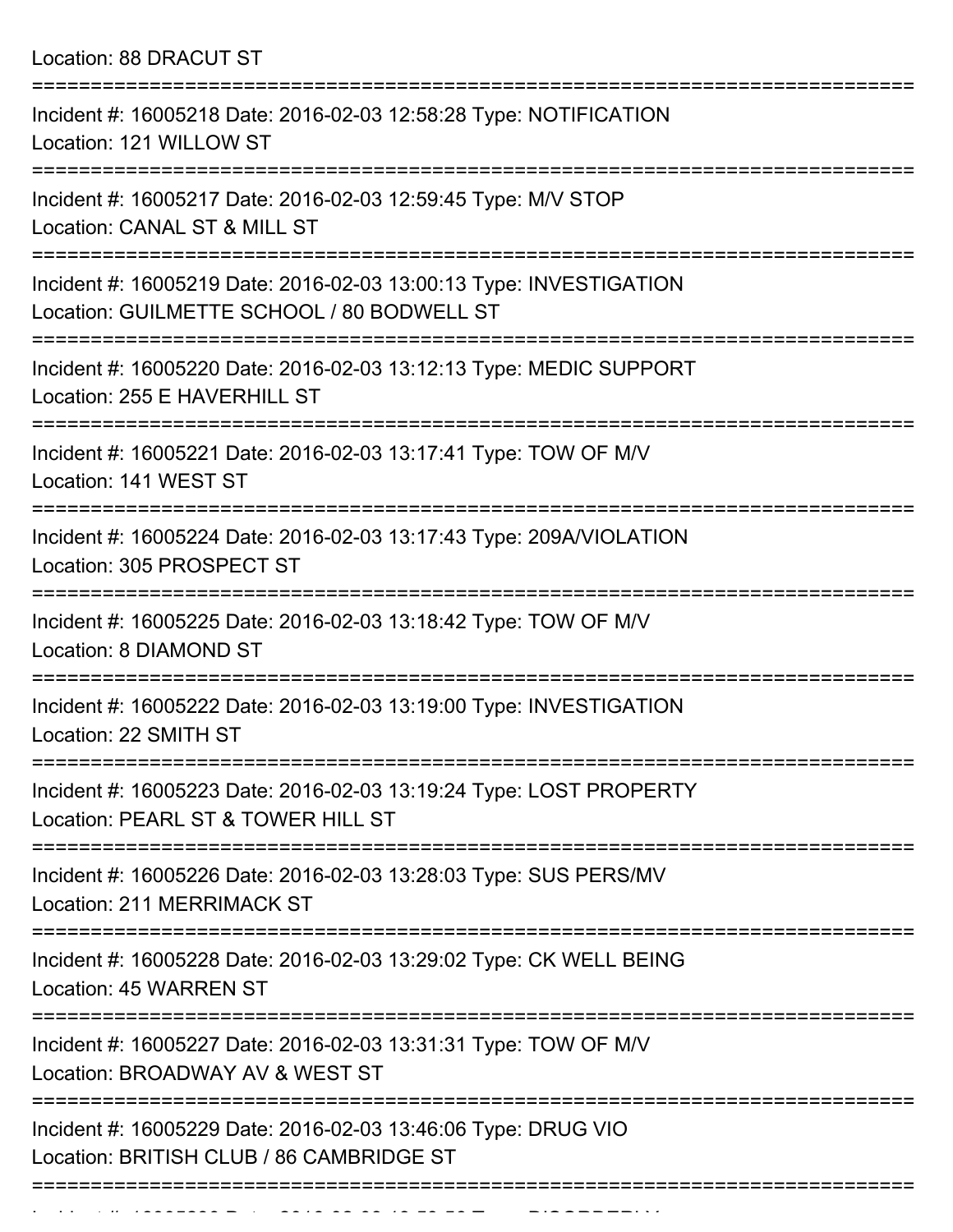Location: 88 DRACUT ST

| Incident #: 16005218 Date: 2016-02-03 12:58:28 Type: NOTIFICATION<br>Location: 121 WILLOW ST                     |
|------------------------------------------------------------------------------------------------------------------|
| Incident #: 16005217 Date: 2016-02-03 12:59:45 Type: M/V STOP<br>Location: CANAL ST & MILL ST                    |
| Incident #: 16005219 Date: 2016-02-03 13:00:13 Type: INVESTIGATION<br>Location: GUILMETTE SCHOOL / 80 BODWELL ST |
| Incident #: 16005220 Date: 2016-02-03 13:12:13 Type: MEDIC SUPPORT<br>Location: 255 E HAVERHILL ST               |
| Incident #: 16005221 Date: 2016-02-03 13:17:41 Type: TOW OF M/V<br>Location: 141 WEST ST                         |
| Incident #: 16005224 Date: 2016-02-03 13:17:43 Type: 209A/VIOLATION<br>Location: 305 PROSPECT ST                 |
| Incident #: 16005225 Date: 2016-02-03 13:18:42 Type: TOW OF M/V<br>Location: 8 DIAMOND ST                        |
| Incident #: 16005222 Date: 2016-02-03 13:19:00 Type: INVESTIGATION<br>Location: 22 SMITH ST                      |
| Incident #: 16005223 Date: 2016-02-03 13:19:24 Type: LOST PROPERTY<br>Location: PEARL ST & TOWER HILL ST         |
| Incident #: 16005226 Date: 2016-02-03 13:28:03 Type: SUS PERS/MV<br>Location: 211 MERRIMACK ST                   |
| Incident #: 16005228 Date: 2016-02-03 13:29:02 Type: CK WELL BEING<br>Location: 45 WARREN ST                     |
| Incident #: 16005227 Date: 2016-02-03 13:31:31 Type: TOW OF M/V<br>Location: BROADWAY AV & WEST ST               |
| Incident #: 16005229 Date: 2016-02-03 13:46:06 Type: DRUG VIO<br>Location: BRITISH CLUB / 86 CAMBRIDGE ST        |
|                                                                                                                  |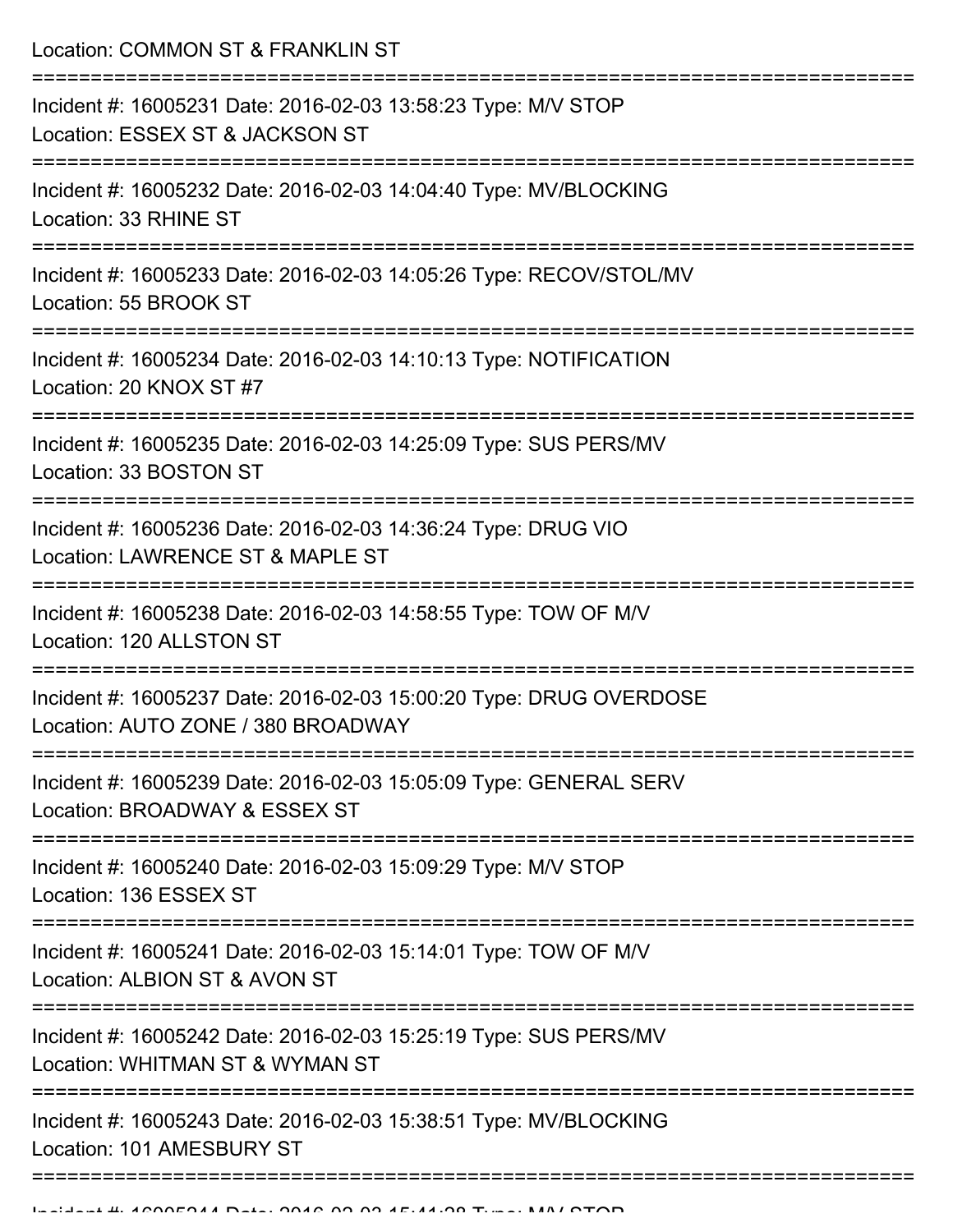Location: COMMON ST & FRANKLIN ST

| Incident #: 16005231 Date: 2016-02-03 13:58:23 Type: M/V STOP<br>Location: ESSEX ST & JACKSON ST         |
|----------------------------------------------------------------------------------------------------------|
| Incident #: 16005232 Date: 2016-02-03 14:04:40 Type: MV/BLOCKING<br>Location: 33 RHINE ST                |
| Incident #: 16005233 Date: 2016-02-03 14:05:26 Type: RECOV/STOL/MV<br>Location: 55 BROOK ST              |
| Incident #: 16005234 Date: 2016-02-03 14:10:13 Type: NOTIFICATION<br>Location: 20 KNOX ST #7             |
| Incident #: 16005235 Date: 2016-02-03 14:25:09 Type: SUS PERS/MV<br>Location: 33 BOSTON ST               |
| Incident #: 16005236 Date: 2016-02-03 14:36:24 Type: DRUG VIO<br>Location: LAWRENCE ST & MAPLE ST        |
| Incident #: 16005238 Date: 2016-02-03 14:58:55 Type: TOW OF M/V<br>Location: 120 ALLSTON ST              |
| Incident #: 16005237 Date: 2016-02-03 15:00:20 Type: DRUG OVERDOSE<br>Location: AUTO ZONE / 380 BROADWAY |
| Incident #: 16005239 Date: 2016-02-03 15:05:09 Type: GENERAL SERV<br>Location: BROADWAY & ESSEX ST       |
| Incident #: 16005240 Date: 2016-02-03 15:09:29 Type: M/V STOP<br>Location: 136 ESSEX ST                  |
| Incident #: 16005241 Date: 2016-02-03 15:14:01 Type: TOW OF M/V<br>Location: ALBION ST & AVON ST         |
| Incident #: 16005242 Date: 2016-02-03 15:25:19 Type: SUS PERS/MV<br>Location: WHITMAN ST & WYMAN ST      |
| Incident #: 16005243 Date: 2016-02-03 15:38:51 Type: MV/BLOCKING<br>Location: 101 AMESBURY ST            |
|                                                                                                          |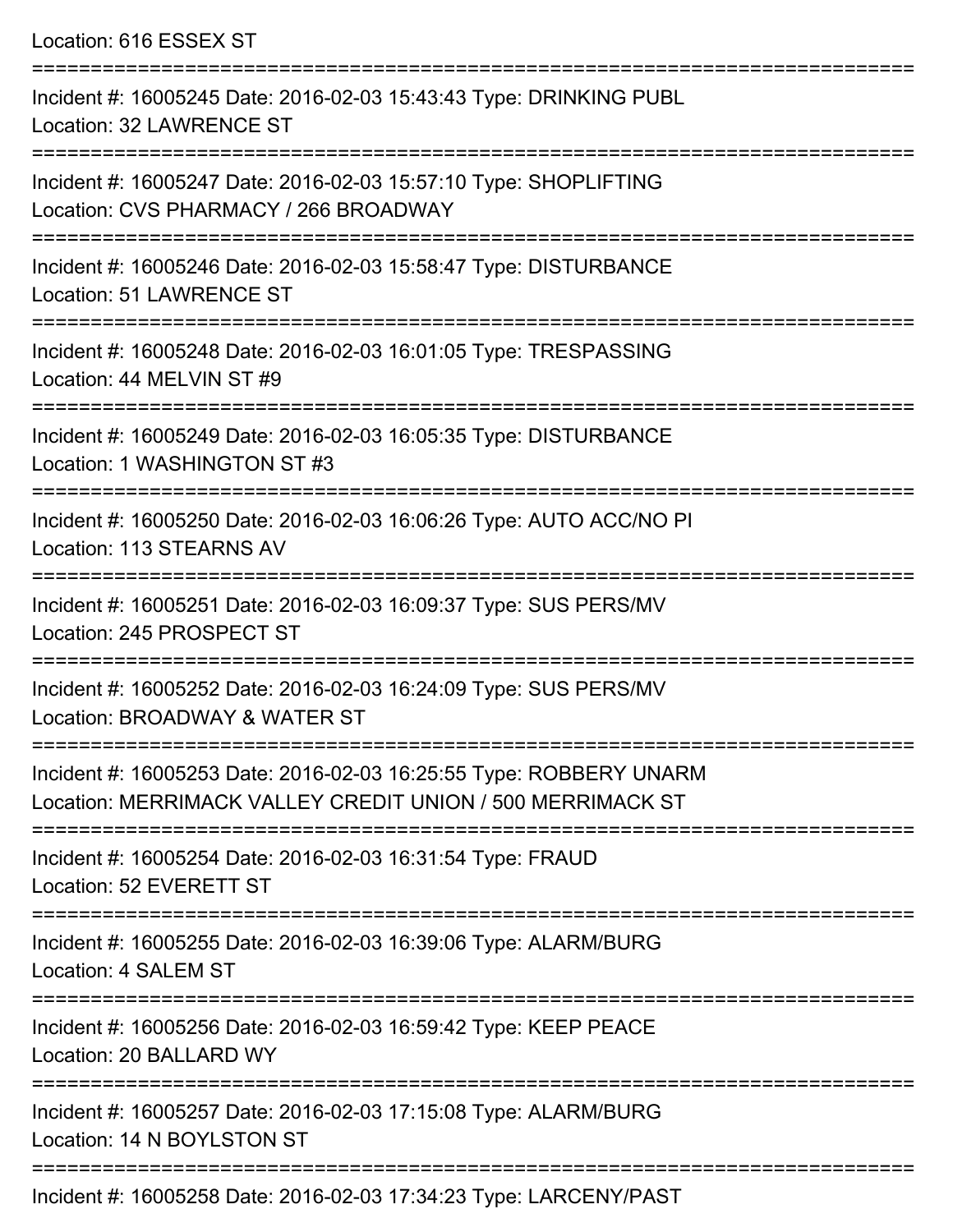Location: 616 ESSEX ST

| Incident #: 16005245 Date: 2016-02-03 15:43:43 Type: DRINKING PUBL<br>Location: 32 LAWRENCE ST                                   |
|----------------------------------------------------------------------------------------------------------------------------------|
| Incident #: 16005247 Date: 2016-02-03 15:57:10 Type: SHOPLIFTING<br>Location: CVS PHARMACY / 266 BROADWAY                        |
| Incident #: 16005246 Date: 2016-02-03 15:58:47 Type: DISTURBANCE<br>Location: 51 LAWRENCE ST                                     |
| Incident #: 16005248 Date: 2016-02-03 16:01:05 Type: TRESPASSING<br>Location: 44 MELVIN ST #9                                    |
| Incident #: 16005249 Date: 2016-02-03 16:05:35 Type: DISTURBANCE<br>Location: 1 WASHINGTON ST #3                                 |
| Incident #: 16005250 Date: 2016-02-03 16:06:26 Type: AUTO ACC/NO PI<br>Location: 113 STEARNS AV                                  |
| Incident #: 16005251 Date: 2016-02-03 16:09:37 Type: SUS PERS/MV<br>Location: 245 PROSPECT ST                                    |
| Incident #: 16005252 Date: 2016-02-03 16:24:09 Type: SUS PERS/MV<br>Location: BROADWAY & WATER ST                                |
| Incident #: 16005253 Date: 2016-02-03 16:25:55 Type: ROBBERY UNARM<br>Location: MERRIMACK VALLEY CREDIT UNION / 500 MERRIMACK ST |
| Incident #: 16005254 Date: 2016-02-03 16:31:54 Type: FRAUD<br>Location: 52 EVERETT ST                                            |
| Incident #: 16005255 Date: 2016-02-03 16:39:06 Type: ALARM/BURG<br>Location: 4 SALEM ST                                          |
| ================<br>Incident #: 16005256 Date: 2016-02-03 16:59:42 Type: KEEP PEACE<br>Location: 20 BALLARD WY                   |
| Incident #: 16005257 Date: 2016-02-03 17:15:08 Type: ALARM/BURG<br>Location: 14 N BOYLSTON ST                                    |
| Incident #: 16005258 Date: 2016-02-03 17:34:23 Type: LARCENY/PAST                                                                |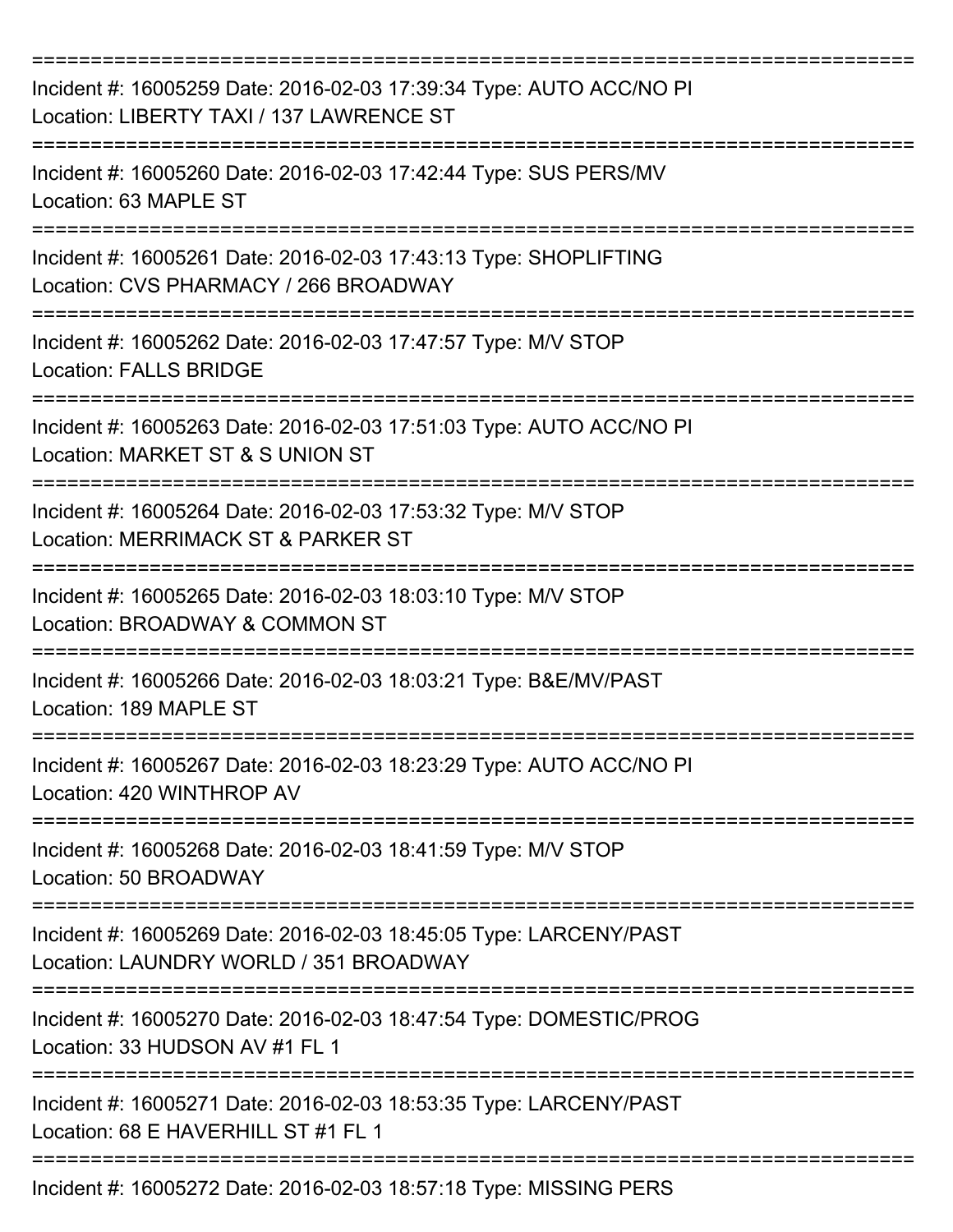| Incident #: 16005259 Date: 2016-02-03 17:39:34 Type: AUTO ACC/NO PI<br>Location: LIBERTY TAXI / 137 LAWRENCE ST |
|-----------------------------------------------------------------------------------------------------------------|
| Incident #: 16005260 Date: 2016-02-03 17:42:44 Type: SUS PERS/MV<br>Location: 63 MAPLE ST                       |
| Incident #: 16005261 Date: 2016-02-03 17:43:13 Type: SHOPLIFTING<br>Location: CVS PHARMACY / 266 BROADWAY       |
| Incident #: 16005262 Date: 2016-02-03 17:47:57 Type: M/V STOP<br><b>Location: FALLS BRIDGE</b>                  |
| Incident #: 16005263 Date: 2016-02-03 17:51:03 Type: AUTO ACC/NO PI<br>Location: MARKET ST & S UNION ST         |
| Incident #: 16005264 Date: 2016-02-03 17:53:32 Type: M/V STOP<br>Location: MERRIMACK ST & PARKER ST             |
| Incident #: 16005265 Date: 2016-02-03 18:03:10 Type: M/V STOP<br>Location: BROADWAY & COMMON ST                 |
| Incident #: 16005266 Date: 2016-02-03 18:03:21 Type: B&E/MV/PAST<br>Location: 189 MAPLE ST                      |
| Incident #: 16005267 Date: 2016-02-03 18:23:29 Type: AUTO ACC/NO PI<br>Location: 420 WINTHROP AV                |
| Incident #: 16005268 Date: 2016-02-03 18:41:59 Type: M/V STOP<br>Location: 50 BROADWAY                          |
| Incident #: 16005269 Date: 2016-02-03 18:45:05 Type: LARCENY/PAST<br>Location: LAUNDRY WORLD / 351 BROADWAY     |
| Incident #: 16005270 Date: 2016-02-03 18:47:54 Type: DOMESTIC/PROG<br>Location: 33 HUDSON AV #1 FL 1            |
| Incident #: 16005271 Date: 2016-02-03 18:53:35 Type: LARCENY/PAST<br>Location: 68 E HAVERHILL ST #1 FL 1        |
| Incident #: 16005272 Date: 2016-02-03 18:57:18 Type: MISSING PERS                                               |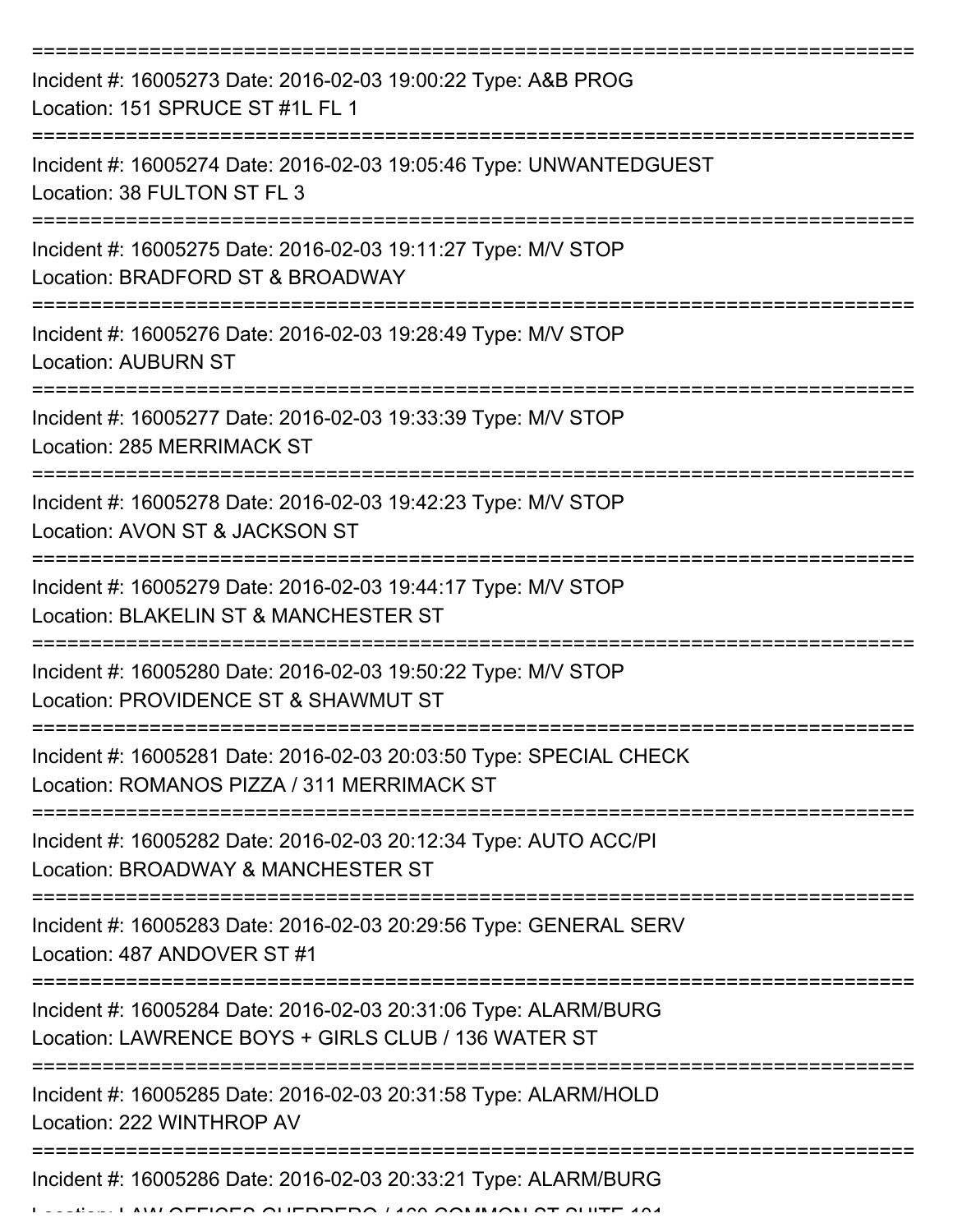| Incident #: 16005273 Date: 2016-02-03 19:00:22 Type: A&B PROG<br>Location: 151 SPRUCE ST #1L FL 1                      |
|------------------------------------------------------------------------------------------------------------------------|
| Incident #: 16005274 Date: 2016-02-03 19:05:46 Type: UNWANTEDGUEST<br>Location: 38 FULTON ST FL 3                      |
| Incident #: 16005275 Date: 2016-02-03 19:11:27 Type: M/V STOP<br>Location: BRADFORD ST & BROADWAY                      |
| Incident #: 16005276 Date: 2016-02-03 19:28:49 Type: M/V STOP<br><b>Location: AUBURN ST</b>                            |
| Incident #: 16005277 Date: 2016-02-03 19:33:39 Type: M/V STOP<br><b>Location: 285 MERRIMACK ST</b>                     |
| Incident #: 16005278 Date: 2016-02-03 19:42:23 Type: M/V STOP<br>Location: AVON ST & JACKSON ST                        |
| Incident #: 16005279 Date: 2016-02-03 19:44:17 Type: M/V STOP<br>Location: BLAKELIN ST & MANCHESTER ST                 |
| Incident #: 16005280 Date: 2016-02-03 19:50:22 Type: M/V STOP<br>Location: PROVIDENCE ST & SHAWMUT ST                  |
| Incident #: 16005281 Date: 2016-02-03 20:03:50 Type: SPECIAL CHECK<br>Location: ROMANOS PIZZA / 311 MERRIMACK ST       |
| Incident #: 16005282 Date: 2016-02-03 20:12:34 Type: AUTO ACC/PI<br>Location: BROADWAY & MANCHESTER ST                 |
| Incident #: 16005283 Date: 2016-02-03 20:29:56 Type: GENERAL SERV<br>Location: 487 ANDOVER ST #1                       |
| Incident #: 16005284 Date: 2016-02-03 20:31:06 Type: ALARM/BURG<br>Location: LAWRENCE BOYS + GIRLS CLUB / 136 WATER ST |
| Incident #: 16005285 Date: 2016-02-03 20:31:58 Type: ALARM/HOLD<br>Location: 222 WINTHROP AV                           |
| Incident #: 16005286 Date: 2016-02-03 20:33:21 Type: ALARM/BURG<br>FIAEA AUFBRERA 1400 AOMMAN AT AUTE 104              |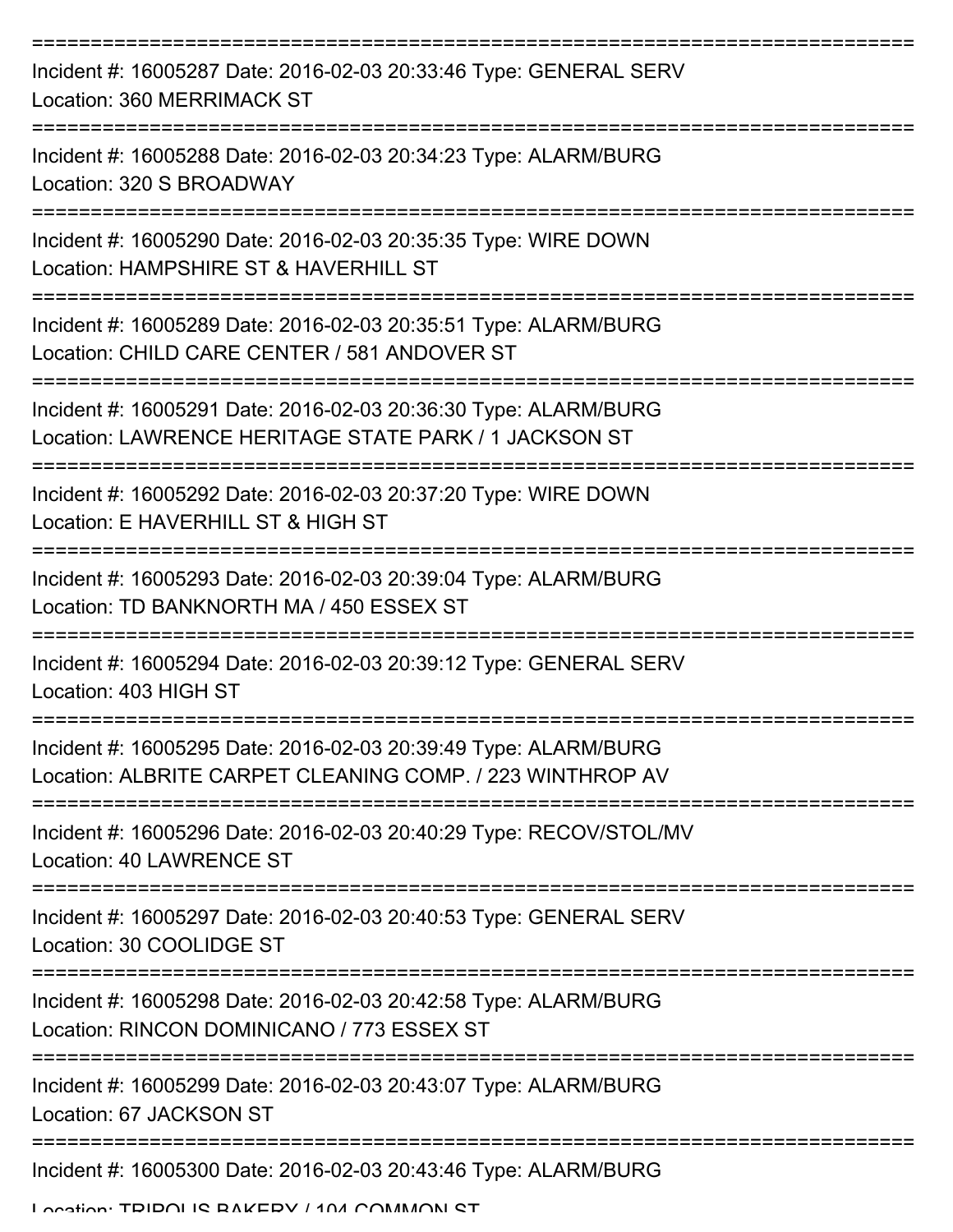| Incident #: 16005287 Date: 2016-02-03 20:33:46 Type: GENERAL SERV<br>Location: 360 MERRIMACK ST                              |
|------------------------------------------------------------------------------------------------------------------------------|
| Incident #: 16005288 Date: 2016-02-03 20:34:23 Type: ALARM/BURG<br>Location: 320 S BROADWAY                                  |
| Incident #: 16005290 Date: 2016-02-03 20:35:35 Type: WIRE DOWN<br>Location: HAMPSHIRE ST & HAVERHILL ST                      |
| Incident #: 16005289 Date: 2016-02-03 20:35:51 Type: ALARM/BURG<br>Location: CHILD CARE CENTER / 581 ANDOVER ST              |
| Incident #: 16005291 Date: 2016-02-03 20:36:30 Type: ALARM/BURG<br>Location: LAWRENCE HERITAGE STATE PARK / 1 JACKSON ST     |
| Incident #: 16005292 Date: 2016-02-03 20:37:20 Type: WIRE DOWN<br>Location: E HAVERHILL ST & HIGH ST                         |
| Incident #: 16005293 Date: 2016-02-03 20:39:04 Type: ALARM/BURG<br>Location: TD BANKNORTH MA / 450 ESSEX ST                  |
| Incident #: 16005294 Date: 2016-02-03 20:39:12 Type: GENERAL SERV<br>Location: 403 HIGH ST                                   |
| Incident #: 16005295 Date: 2016-02-03 20:39:49 Type: ALARM/BURG<br>Location: ALBRITE CARPET CLEANING COMP. / 223 WINTHROP AV |
| Incident #: 16005296 Date: 2016-02-03 20:40:29 Type: RECOV/STOL/MV<br><b>Location: 40 LAWRENCE ST</b>                        |
| Incident #: 16005297 Date: 2016-02-03 20:40:53 Type: GENERAL SERV<br>Location: 30 COOLIDGE ST                                |
| Incident #: 16005298 Date: 2016-02-03 20:42:58 Type: ALARM/BURG<br>Location: RINCON DOMINICANO / 773 ESSEX ST                |
| Incident #: 16005299 Date: 2016-02-03 20:43:07 Type: ALARM/BURG<br>Location: 67 JACKSON ST                                   |
| Incident #: 16005300 Date: 2016-02-03 20:43:46 Type: ALARM/BURG                                                              |

Location: TDIDOLIS BAKERY / 104 COMMON ST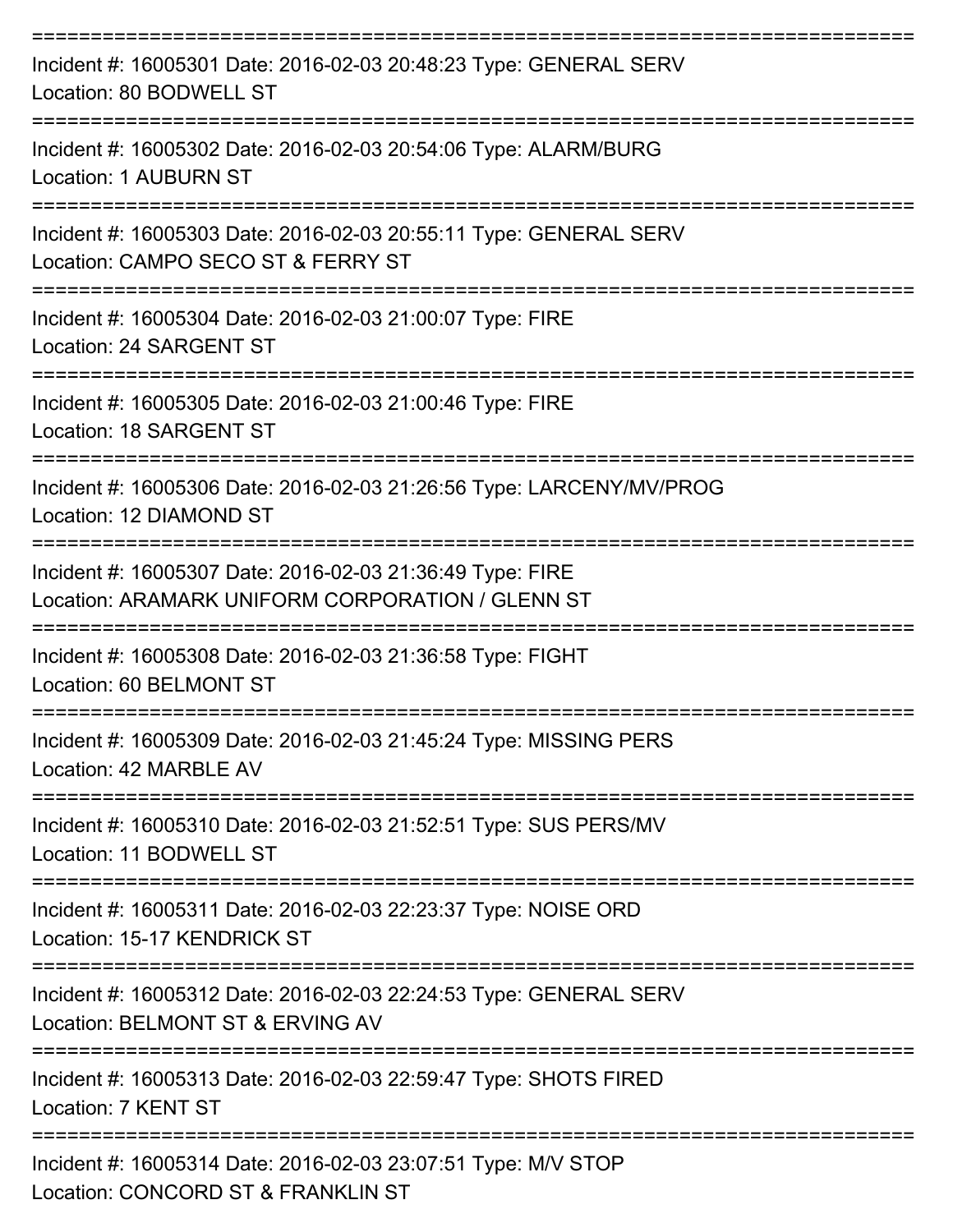| Incident #: 16005301 Date: 2016-02-03 20:48:23 Type: GENERAL SERV<br>Location: 80 BODWELL ST                               |
|----------------------------------------------------------------------------------------------------------------------------|
| Incident #: 16005302 Date: 2016-02-03 20:54:06 Type: ALARM/BURG<br>Location: 1 AUBURN ST                                   |
| Incident #: 16005303 Date: 2016-02-03 20:55:11 Type: GENERAL SERV<br>Location: CAMPO SECO ST & FERRY ST<br>-------------   |
| Incident #: 16005304 Date: 2016-02-03 21:00:07 Type: FIRE<br>Location: 24 SARGENT ST                                       |
| ==================================<br>Incident #: 16005305 Date: 2016-02-03 21:00:46 Type: FIRE<br>Location: 18 SARGENT ST |
| Incident #: 16005306 Date: 2016-02-03 21:26:56 Type: LARCENY/MV/PROG<br>Location: 12 DIAMOND ST                            |
| Incident #: 16005307 Date: 2016-02-03 21:36:49 Type: FIRE<br>Location: ARAMARK UNIFORM CORPORATION / GLENN ST              |
| Incident #: 16005308 Date: 2016-02-03 21:36:58 Type: FIGHT<br>Location: 60 BELMONT ST                                      |
| Incident #: 16005309 Date: 2016-02-03 21:45:24 Type: MISSING PERS<br>Location: 42 MARBLE AV                                |
| Incident #: 16005310 Date: 2016-02-03 21:52:51 Type: SUS PERS/MV<br>Location: 11 BODWELL ST                                |
| Incident #: 16005311 Date: 2016-02-03 22:23:37 Type: NOISE ORD<br>Location: 15-17 KENDRICK ST                              |
| Incident #: 16005312 Date: 2016-02-03 22:24:53 Type: GENERAL SERV<br>Location: BELMONT ST & ERVING AV                      |
| Incident #: 16005313 Date: 2016-02-03 22:59:47 Type: SHOTS FIRED<br>Location: 7 KENT ST                                    |
| Incident #: 16005314 Date: 2016-02-03 23:07:51 Type: M/V STOP<br>Location: CONCORD ST & FRANKLIN ST                        |